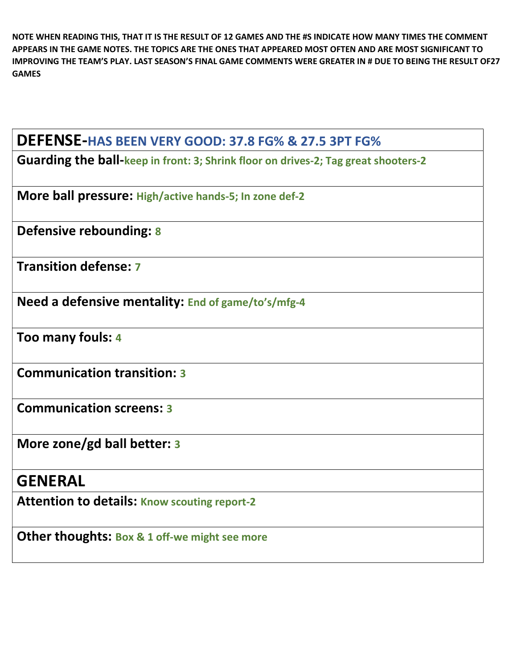NOTE WHEN READING THIS, THAT IT IS THE RESULT OF 12 GAMES AND THE #S INDICATE HOW MANY TIMES THE COMMENT APPEARS IN THE GAME NOTES. THE TOPICS ARE THE ONES THAT APPEARED MOST OFTEN AND ARE MOST SIGNIFICANT TO IMPROVING THE TEAM'S PLAY. LAST SEASON'S FINAL GAME COMMENTS WERE GREATER IN # DUE TO BEING THE RESULT OF27 GAMES

| DEFENSE-HAS BEEN VERY GOOD: 37.8 FG% & 27.5 3PT FG%                                |
|------------------------------------------------------------------------------------|
| Guarding the ball-keep in front: 3; Shrink floor on drives-2; Tag great shooters-2 |
| More ball pressure: High/active hands-5; In zone def-2                             |
| Defensive rebounding: 8                                                            |
| <b>Transition defense: 7</b>                                                       |
| Need a defensive mentality: End of game/to's/mfg-4                                 |
| Too many fouls: 4                                                                  |
| <b>Communication transition: 3</b>                                                 |
| <b>Communication screens: 3</b>                                                    |
| More zone/gd ball better: 3                                                        |
| <b>GENERAL</b>                                                                     |
| <b>Attention to details: Know scouting report-2</b>                                |
| <b>Other thoughts: Box &amp; 1 off-we might see more</b>                           |